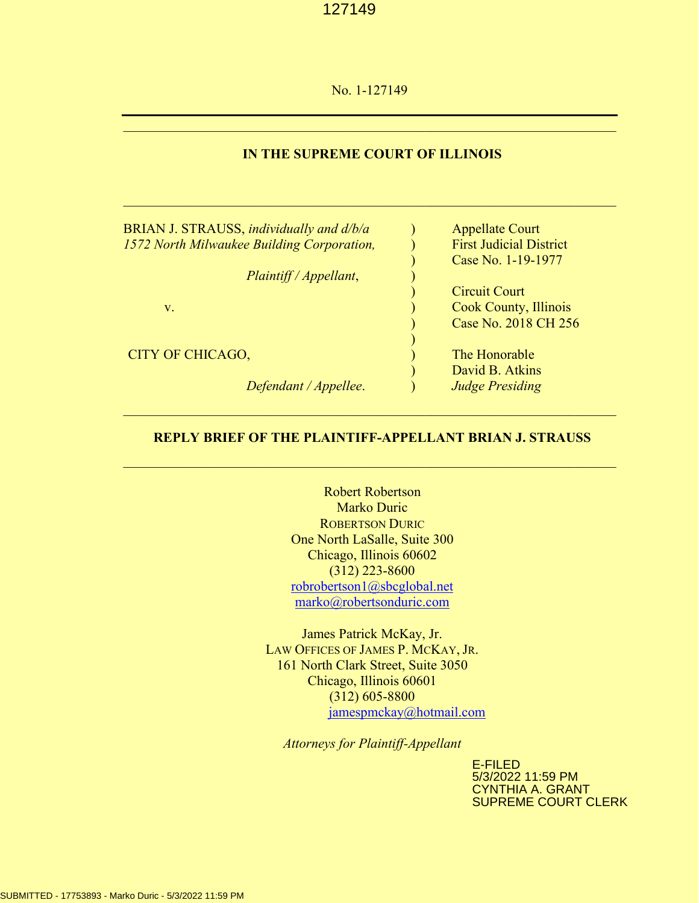No. 1-127149

# **IN THE SUPREME COURT OF ILLINOIS**

 $\mathcal{L}_\mathcal{L}$  , and the contribution of the contribution of the contribution of the contribution of the contribution of the contribution of the contribution of the contribution of the contribution of the contribution of

 $\mathcal{L}_\mathcal{L}$  , and the contribution of the contribution of the contribution of the contribution of the contribution of the contribution of the contribution of the contribution of the contribution of the contribution of

| BRIAN J. STRAUSS, individually and d/b/a   | <b>Appellate Court</b>         |
|--------------------------------------------|--------------------------------|
| 1572 North Milwaukee Building Corporation, | <b>First Judicial District</b> |
|                                            | Case No. 1-19-1977             |
| Plaintiff / Appellant,                     |                                |
|                                            | <b>Circuit Court</b>           |
| $V_{\star}$                                | <b>Cook County, Illinois</b>   |
|                                            | Case No. 2018 CH 256           |
|                                            |                                |
| CITY OF CHICAGO,                           | The Honorable                  |
|                                            | David B. Atkins                |
| Defendant / Appellee.                      | <b>Judge Presiding</b>         |

# **REPLY BRIEF OF THE PLAINTIFF-APPELLANT BRIAN J. STRAUSS**

 $\mathcal{L}_\mathcal{L}$  , and the contribution of the contribution of the contribution of the contribution of the contribution of the contribution of the contribution of the contribution of the contribution of the contribution of

Robert Robertson Marko Duric ROBERTSON DURIC One North LaSalle, Suite 300 Chicago, Illinois 60602 (312) 223-8600 [robrobertson1@sbcglobal.net](mailto:robrobertson1@sbcglobal.net) [marko@robertsonduric.com](mailto:marko@robertsonduric.com)

James Patrick McKay, Jr. LAW OFFICES OF JAMES P. MCKAY, JR. 161 North Clark Street, Suite 3050 Chicago, Illinois 60601 (312) 605-8800 [jamespmckay@hotmail.com](mailto:jamespmckay@hotmail.com)

*Attorneys for Plaintiff-Appellant*

E-FILED 5/3/2022 11:59 PM CYNTHIA A. GRANT SUPREME COURT CLERK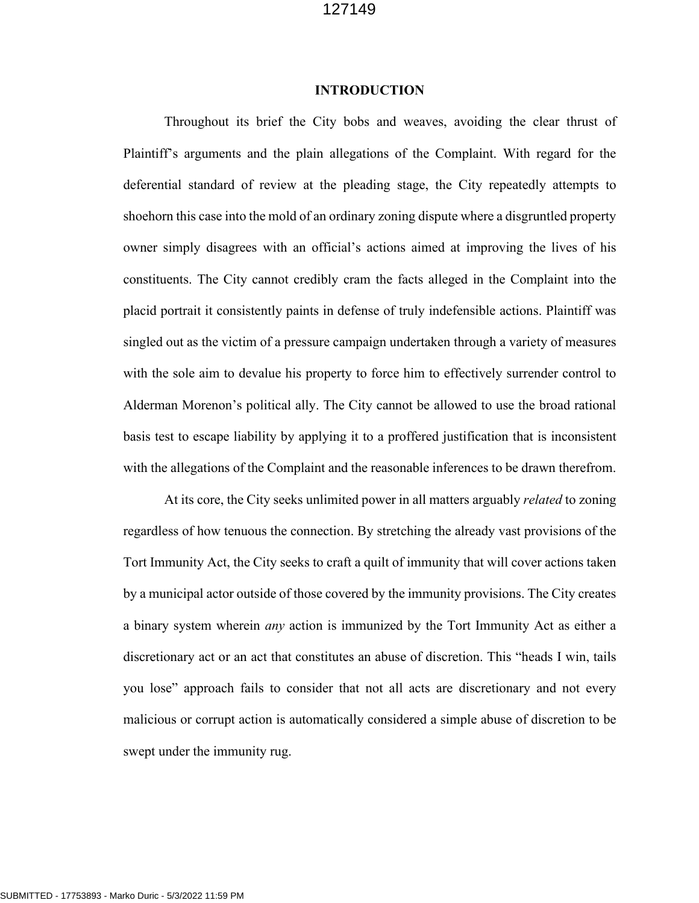### **INTRODUCTION**

Throughout its brief the City bobs and weaves, avoiding the clear thrust of Plaintiff's arguments and the plain allegations of the Complaint. With regard for the deferential standard of review at the pleading stage, the City repeatedly attempts to shoehorn this case into the mold of an ordinary zoning dispute where a disgruntled property owner simply disagrees with an official's actions aimed at improving the lives of his constituents. The City cannot credibly cram the facts alleged in the Complaint into the placid portrait it consistently paints in defense of truly indefensible actions. Plaintiff was singled out as the victim of a pressure campaign undertaken through a variety of measures with the sole aim to devalue his property to force him to effectively surrender control to Alderman Morenon's political ally. The City cannot be allowed to use the broad rational basis test to escape liability by applying it to a proffered justification that is inconsistent with the allegations of the Complaint and the reasonable inferences to be drawn therefrom.

At its core, the City seeks unlimited power in all matters arguably *related* to zoning regardless of how tenuous the connection. By stretching the already vast provisions of the Tort Immunity Act, the City seeks to craft a quilt of immunity that will cover actions taken by a municipal actor outside of those covered by the immunity provisions. The City creates a binary system wherein *any* action is immunized by the Tort Immunity Act as either a discretionary act or an act that constitutes an abuse of discretion. This "heads I win, tails you lose" approach fails to consider that not all acts are discretionary and not every malicious or corrupt action is automatically considered a simple abuse of discretion to be swept under the immunity rug.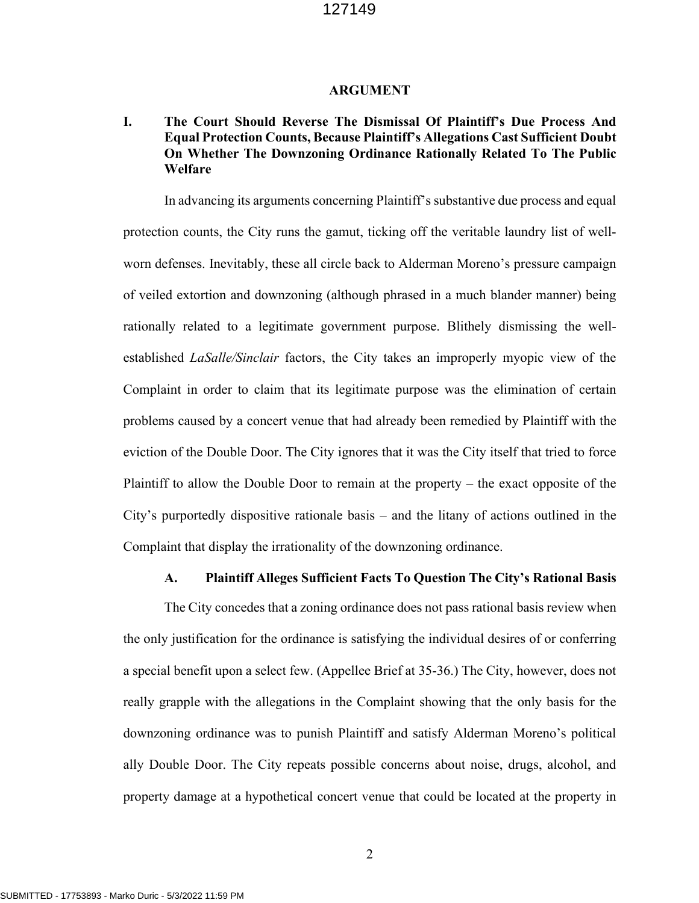#### **ARGUMENT**

# **I. The Court Should Reverse The Dismissal Of Plaintiff's Due Process And Equal Protection Counts, Because Plaintiff's Allegations Cast Sufficient Doubt On Whether The Downzoning Ordinance Rationally Related To The Public Welfare**

In advancing its arguments concerning Plaintiff's substantive due process and equal protection counts, the City runs the gamut, ticking off the veritable laundry list of wellworn defenses. Inevitably, these all circle back to Alderman Moreno's pressure campaign of veiled extortion and downzoning (although phrased in a much blander manner) being rationally related to a legitimate government purpose. Blithely dismissing the wellestablished *LaSalle/Sinclair* factors, the City takes an improperly myopic view of the Complaint in order to claim that its legitimate purpose was the elimination of certain problems caused by a concert venue that had already been remedied by Plaintiff with the eviction of the Double Door. The City ignores that it was the City itself that tried to force Plaintiff to allow the Double Door to remain at the property – the exact opposite of the City's purportedly dispositive rationale basis – and the litany of actions outlined in the Complaint that display the irrationality of the downzoning ordinance.

#### **A. Plaintiff Alleges Sufficient Facts To Question The City's Rational Basis**

The City concedes that a zoning ordinance does not pass rational basis review when the only justification for the ordinance is satisfying the individual desires of or conferring a special benefit upon a select few. (Appellee Brief at 35-36.) The City, however, does not really grapple with the allegations in the Complaint showing that the only basis for the downzoning ordinance was to punish Plaintiff and satisfy Alderman Moreno's political ally Double Door. The City repeats possible concerns about noise, drugs, alcohol, and property damage at a hypothetical concert venue that could be located at the property in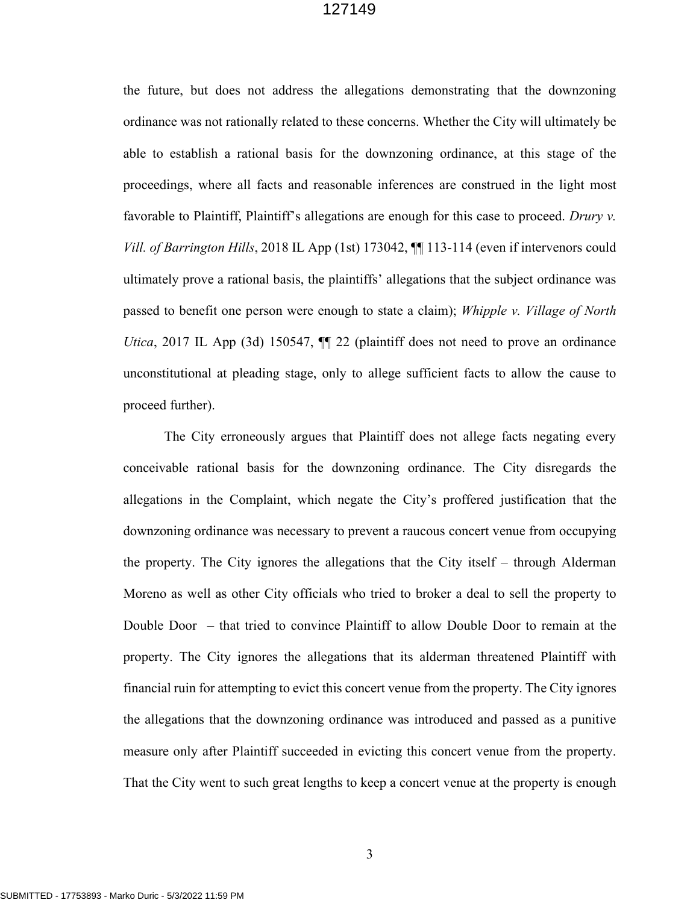the future, but does not address the allegations demonstrating that the downzoning ordinance was not rationally related to these concerns. Whether the City will ultimately be able to establish a rational basis for the downzoning ordinance, at this stage of the proceedings, where all facts and reasonable inferences are construed in the light most favorable to Plaintiff, Plaintiff's allegations are enough for this case to proceed. *Drury v. Vill. of Barrington Hills*, 2018 IL App (1st) 173042, ¶¶ 113-114 (even if intervenors could ultimately prove a rational basis, the plaintiffs' allegations that the subject ordinance was passed to benefit one person were enough to state a claim); *Whipple v. Village of North Utica*, 2017 IL App (3d) 150547,  $\P$  22 (plaintiff does not need to prove an ordinance unconstitutional at pleading stage, only to allege sufficient facts to allow the cause to proceed further).

The City erroneously argues that Plaintiff does not allege facts negating every conceivable rational basis for the downzoning ordinance. The City disregards the allegations in the Complaint, which negate the City's proffered justification that the downzoning ordinance was necessary to prevent a raucous concert venue from occupying the property. The City ignores the allegations that the City itself – through Alderman Moreno as well as other City officials who tried to broker a deal to sell the property to Double Door – that tried to convince Plaintiff to allow Double Door to remain at the property. The City ignores the allegations that its alderman threatened Plaintiff with financial ruin for attempting to evict this concert venue from the property. The City ignores the allegations that the downzoning ordinance was introduced and passed as a punitive measure only after Plaintiff succeeded in evicting this concert venue from the property. That the City went to such great lengths to keep a concert venue at the property is enough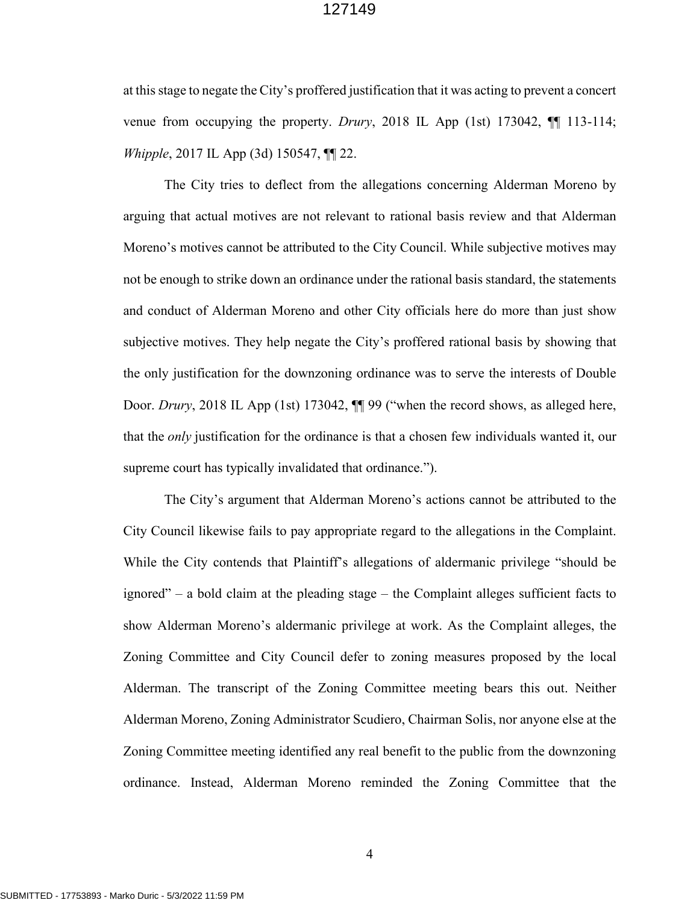at this stage to negate the City's proffered justification that it was acting to prevent a concert venue from occupying the property. *Drury*, 2018 IL App (1st) 173042, ¶¶ 113-114; *Whipple*, 2017 IL App (3d) 150547, ¶¶ 22.

The City tries to deflect from the allegations concerning Alderman Moreno by arguing that actual motives are not relevant to rational basis review and that Alderman Moreno's motives cannot be attributed to the City Council. While subjective motives may not be enough to strike down an ordinance under the rational basis standard, the statements and conduct of Alderman Moreno and other City officials here do more than just show subjective motives. They help negate the City's proffered rational basis by showing that the only justification for the downzoning ordinance was to serve the interests of Double Door. *Drury*, 2018 IL App (1st) 173042, ¶¶ 99 ("when the record shows, as alleged here, that the *only* justification for the ordinance is that a chosen few individuals wanted it, our supreme court has typically invalidated that ordinance.").

The City's argument that Alderman Moreno's actions cannot be attributed to the City Council likewise fails to pay appropriate regard to the allegations in the Complaint. While the City contends that Plaintiff's allegations of aldermanic privilege "should be ignored" – a bold claim at the pleading stage – the Complaint alleges sufficient facts to show Alderman Moreno's aldermanic privilege at work. As the Complaint alleges, the Zoning Committee and City Council defer to zoning measures proposed by the local Alderman. The transcript of the Zoning Committee meeting bears this out. Neither Alderman Moreno, Zoning Administrator Scudiero, Chairman Solis, nor anyone else at the Zoning Committee meeting identified any real benefit to the public from the downzoning ordinance. Instead, Alderman Moreno reminded the Zoning Committee that the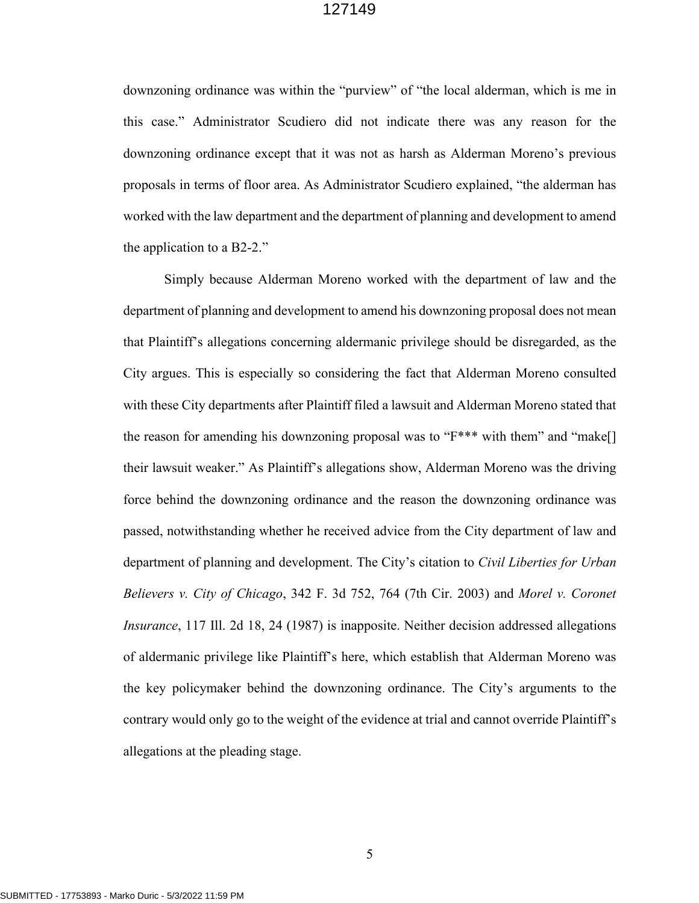downzoning ordinance was within the "purview" of "the local alderman, which is me in this case." Administrator Scudiero did not indicate there was any reason for the downzoning ordinance except that it was not as harsh as Alderman Moreno's previous proposals in terms of floor area. As Administrator Scudiero explained, "the alderman has worked with the law department and the department of planning and development to amend the application to a B2-2."

Simply because Alderman Moreno worked with the department of law and the department of planning and development to amend his downzoning proposal does not mean that Plaintiff's allegations concerning aldermanic privilege should be disregarded, as the City argues. This is especially so considering the fact that Alderman Moreno consulted with these City departments after Plaintiff filed a lawsuit and Alderman Moreno stated that the reason for amending his downzoning proposal was to "F\*\*\* with them" and "make[] their lawsuit weaker." As Plaintiff's allegations show, Alderman Moreno was the driving force behind the downzoning ordinance and the reason the downzoning ordinance was passed, notwithstanding whether he received advice from the City department of law and department of planning and development. The City's citation to *Civil Liberties for Urban Believers v. City of Chicago*, 342 F. 3d 752, 764 (7th Cir. 2003) and *Morel v. Coronet Insurance*, 117 Ill. 2d 18, 24 (1987) is inapposite. Neither decision addressed allegations of aldermanic privilege like Plaintiff's here, which establish that Alderman Moreno was the key policymaker behind the downzoning ordinance. The City's arguments to the contrary would only go to the weight of the evidence at trial and cannot override Plaintiff's allegations at the pleading stage.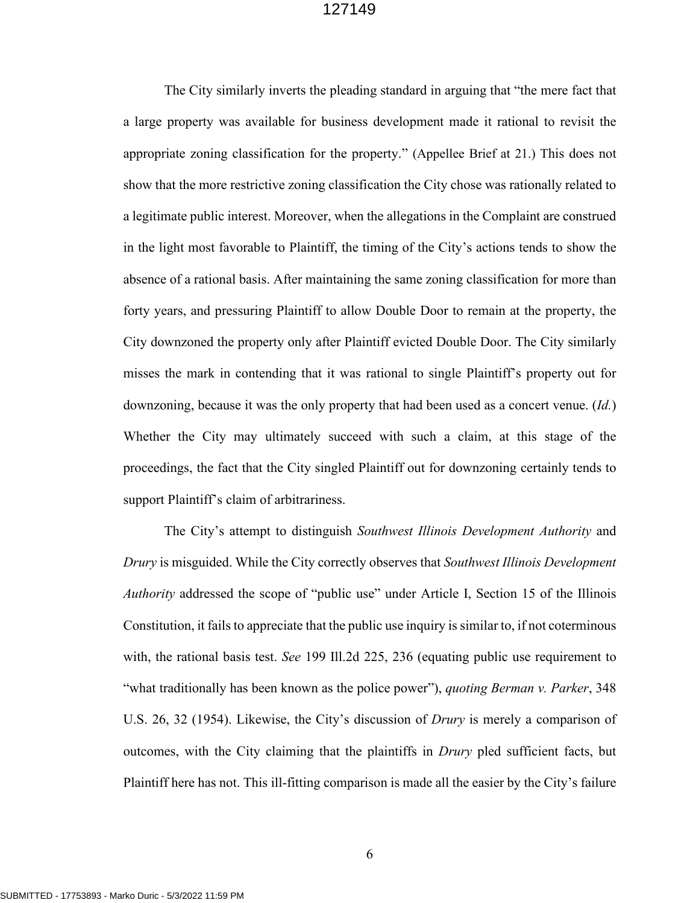The City similarly inverts the pleading standard in arguing that "the mere fact that a large property was available for business development made it rational to revisit the appropriate zoning classification for the property." (Appellee Brief at 21.) This does not show that the more restrictive zoning classification the City chose was rationally related to a legitimate public interest. Moreover, when the allegations in the Complaint are construed in the light most favorable to Plaintiff, the timing of the City's actions tends to show the absence of a rational basis. After maintaining the same zoning classification for more than forty years, and pressuring Plaintiff to allow Double Door to remain at the property, the City downzoned the property only after Plaintiff evicted Double Door. The City similarly misses the mark in contending that it was rational to single Plaintiff's property out for downzoning, because it was the only property that had been used as a concert venue. (*Id.*) Whether the City may ultimately succeed with such a claim, at this stage of the proceedings, the fact that the City singled Plaintiff out for downzoning certainly tends to support Plaintiff's claim of arbitrariness.

The City's attempt to distinguish *Southwest Illinois Development Authority* and *Drury* is misguided. While the City correctly observes that *Southwest Illinois Development Authority* addressed the scope of "public use" under Article I, Section 15 of the Illinois Constitution, it fails to appreciate that the public use inquiry is similar to, if not coterminous with, the rational basis test. *See* 199 Ill.2d 225, 236 (equating public use requirement to "what traditionally has been known as the police power"), *quoting Berman v. Parker*, 348 U.S. 26, 32 (1954). Likewise, the City's discussion of *Drury* is merely a comparison of outcomes, with the City claiming that the plaintiffs in *Drury* pled sufficient facts, but Plaintiff here has not. This ill-fitting comparison is made all the easier by the City's failure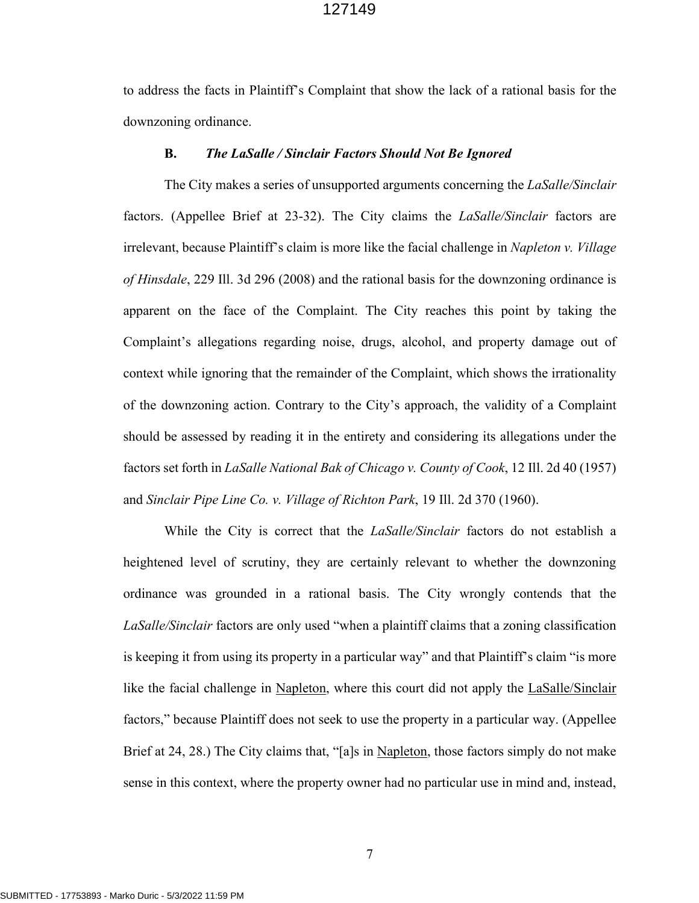to address the facts in Plaintiff's Complaint that show the lack of a rational basis for the downzoning ordinance.

#### **B.** *The LaSalle / Sinclair Factors Should Not Be Ignored*

The City makes a series of unsupported arguments concerning the *LaSalle/Sinclair*  factors. (Appellee Brief at 23-32). The City claims the *LaSalle/Sinclair* factors are irrelevant, because Plaintiff's claim is more like the facial challenge in *Napleton v. Village of Hinsdale*, 229 Ill. 3d 296 (2008) and the rational basis for the downzoning ordinance is apparent on the face of the Complaint. The City reaches this point by taking the Complaint's allegations regarding noise, drugs, alcohol, and property damage out of context while ignoring that the remainder of the Complaint, which shows the irrationality of the downzoning action. Contrary to the City's approach, the validity of a Complaint should be assessed by reading it in the entirety and considering its allegations under the factors set forth in *LaSalle National Bak of Chicago v. County of Cook*, 12 Ill. 2d 40 (1957) and *Sinclair Pipe Line Co. v. Village of Richton Park*, 19 Ill. 2d 370 (1960).

While the City is correct that the *LaSalle/Sinclair* factors do not establish a heightened level of scrutiny, they are certainly relevant to whether the downzoning ordinance was grounded in a rational basis. The City wrongly contends that the *LaSalle/Sinclair* factors are only used "when a plaintiff claims that a zoning classification is keeping it from using its property in a particular way" and that Plaintiff's claim "is more like the facial challenge in Napleton, where this court did not apply the LaSalle/Sinclair factors," because Plaintiff does not seek to use the property in a particular way. (Appellee Brief at 24, 28.) The City claims that, "[a]s in Napleton, those factors simply do not make sense in this context, where the property owner had no particular use in mind and, instead,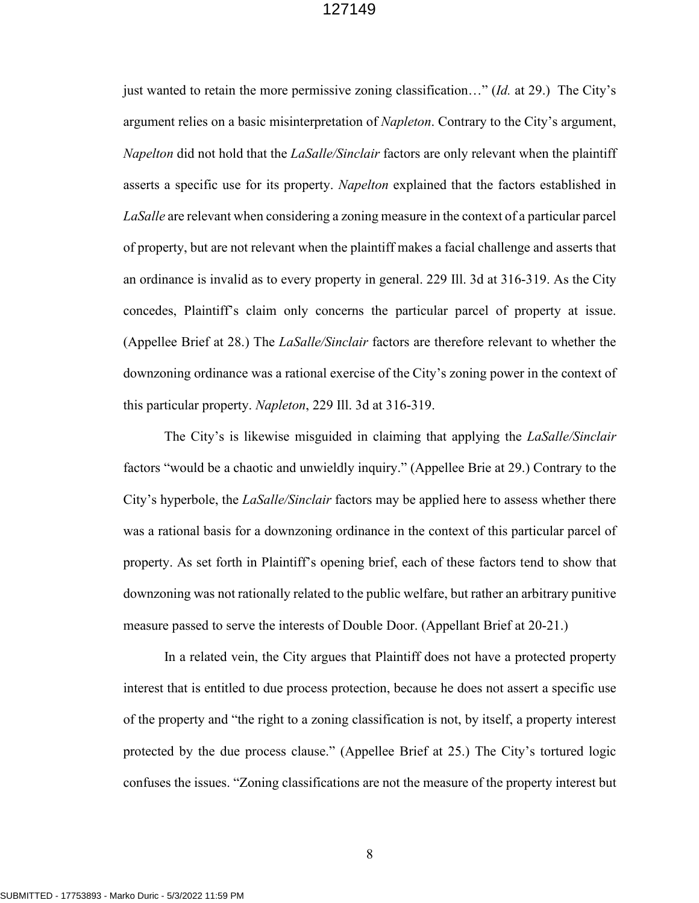just wanted to retain the more permissive zoning classification…" (*Id.* at 29.) The City's argument relies on a basic misinterpretation of *Napleton*. Contrary to the City's argument, *Napelton* did not hold that the *LaSalle/Sinclair* factors are only relevant when the plaintiff asserts a specific use for its property. *Napelton* explained that the factors established in *LaSalle* are relevant when considering a zoning measure in the context of a particular parcel of property, but are not relevant when the plaintiff makes a facial challenge and asserts that an ordinance is invalid as to every property in general. 229 Ill. 3d at 316-319. As the City concedes, Plaintiff's claim only concerns the particular parcel of property at issue. (Appellee Brief at 28.) The *LaSalle/Sinclair* factors are therefore relevant to whether the downzoning ordinance was a rational exercise of the City's zoning power in the context of this particular property. *Napleton*, 229 Ill. 3d at 316-319.

 The City's is likewise misguided in claiming that applying the *LaSalle/Sinclair*  factors "would be a chaotic and unwieldly inquiry." (Appellee Brie at 29.) Contrary to the City's hyperbole, the *LaSalle/Sinclair* factors may be applied here to assess whether there was a rational basis for a downzoning ordinance in the context of this particular parcel of property. As set forth in Plaintiff's opening brief, each of these factors tend to show that downzoning was not rationally related to the public welfare, but rather an arbitrary punitive measure passed to serve the interests of Double Door. (Appellant Brief at 20-21.)

In a related vein, the City argues that Plaintiff does not have a protected property interest that is entitled to due process protection, because he does not assert a specific use of the property and "the right to a zoning classification is not, by itself, a property interest protected by the due process clause." (Appellee Brief at 25.) The City's tortured logic confuses the issues. "Zoning classifications are not the measure of the property interest but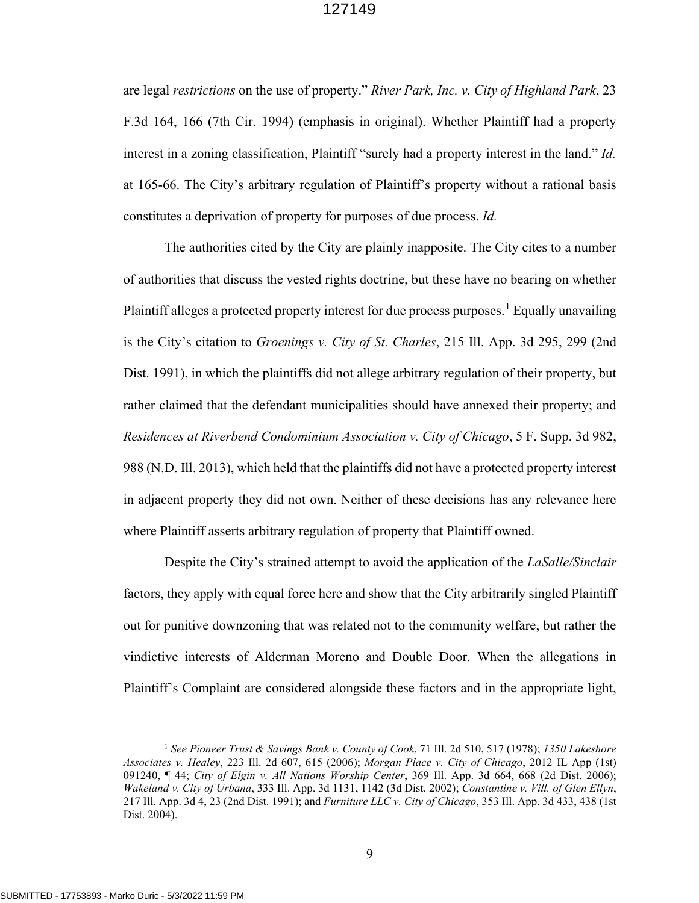are legal *restrictions* on the use of property." *River Park, Inc. v. City of Highland Park*, 23 F.3d 164, 166 (7th Cir. 1994) (emphasis in original). Whether Plaintiff had a property interest in a zoning classification, Plaintiff "surely had a property interest in the land." *Id.*  at 165-66. The City's arbitrary regulation of Plaintiff's property without a rational basis constitutes a deprivation of property for purposes of due process. *Id.* 

The authorities cited by the City are plainly inapposite. The City cites to a number of authorities that discuss the vested rights doctrine, but these have no bearing on whether Plaintiff alleges a protected property interest for due process purposes.<sup>[1](#page-9-0)</sup> Equally unavailing is the City's citation to *Groenings v. City of St. Charles*, 215 Ill. App. 3d 295, 299 (2nd Dist. 1991), in which the plaintiffs did not allege arbitrary regulation of their property, but rather claimed that the defendant municipalities should have annexed their property; and *Residences at Riverbend Condominium Association v. City of Chicago*, 5 F. Supp. 3d 982, 988 (N.D. Ill. 2013), which held that the plaintiffs did not have a protected property interest in adjacent property they did not own. Neither of these decisions has any relevance here where Plaintiff asserts arbitrary regulation of property that Plaintiff owned.

Despite the City's strained attempt to avoid the application of the *LaSalle/Sinclair* factors, they apply with equal force here and show that the City arbitrarily singled Plaintiff out for punitive downzoning that was related not to the community welfare, but rather the vindictive interests of Alderman Moreno and Double Door. When the allegations in Plaintiff's Complaint are considered alongside these factors and in the appropriate light,

<span id="page-9-0"></span><sup>1</sup> *See Pioneer Trust & Savings Bank v. County of Cook*, 71 Ill. 2d 510, 517 (1978); *1350 Lakeshore Associates v. Healey*, 223 Ill. 2d 607, 615 (2006); *Morgan Place v. City of Chicago*, 2012 IL App (1st) 091240, ¶ 44; *City of Elgin v. All Nations Worship Center*, 369 Ill. App. 3d 664, 668 (2d Dist. 2006); *Wakeland v. City of Urbana*, 333 Ill. App. 3d 1131, 1142 (3d Dist. 2002); *Constantine v. Vill. of Glen Ellyn*, 217 Ill. App. 3d 4, 23 (2nd Dist. 1991); and *Furniture LLC v. City of Chicago*, 353 Ill. App. 3d 433, 438 (1st Dist. 2004).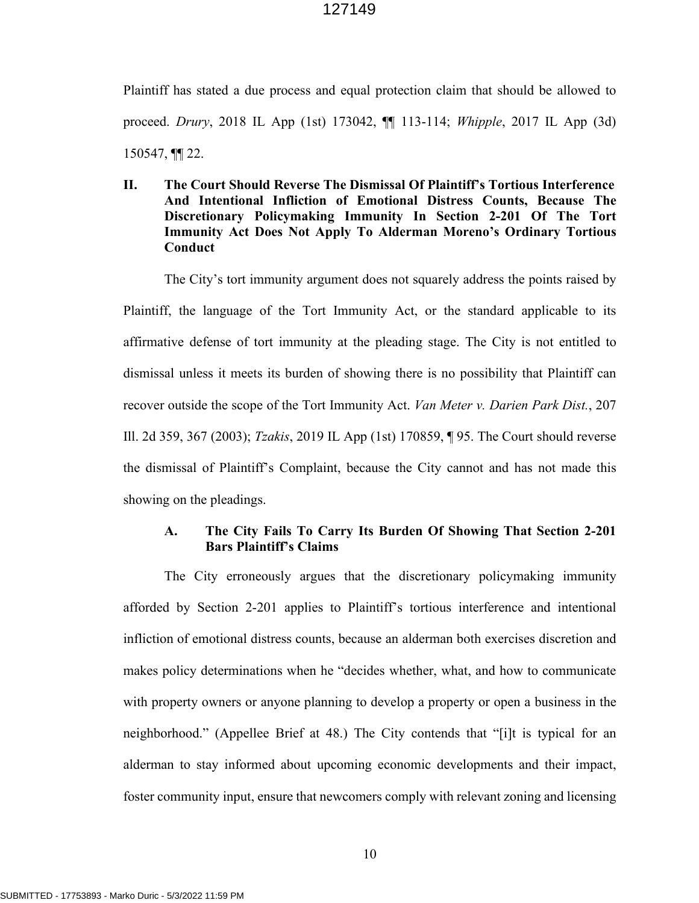Plaintiff has stated a due process and equal protection claim that should be allowed to proceed. *Drury*, 2018 IL App (1st) 173042, ¶¶ 113-114; *Whipple*, 2017 IL App (3d) 150547, ¶¶ 22.

**II. The Court Should Reverse The Dismissal Of Plaintiff's Tortious Interference And Intentional Infliction of Emotional Distress Counts, Because The Discretionary Policymaking Immunity In Section 2-201 Of The Tort Immunity Act Does Not Apply To Alderman Moreno's Ordinary Tortious Conduct**

The City's tort immunity argument does not squarely address the points raised by Plaintiff, the language of the Tort Immunity Act, or the standard applicable to its affirmative defense of tort immunity at the pleading stage. The City is not entitled to dismissal unless it meets its burden of showing there is no possibility that Plaintiff can recover outside the scope of the Tort Immunity Act. *Van Meter v. Darien Park Dist.*, 207 Ill. 2d 359, 367 (2003); *Tzakis*, 2019 IL App (1st) 170859, ¶ 95. The Court should reverse the dismissal of Plaintiff's Complaint, because the City cannot and has not made this showing on the pleadings.

# **A. The City Fails To Carry Its Burden Of Showing That Section 2-201 Bars Plaintiff's Claims**

The City erroneously argues that the discretionary policymaking immunity afforded by Section 2-201 applies to Plaintiff's tortious interference and intentional infliction of emotional distress counts, because an alderman both exercises discretion and makes policy determinations when he "decides whether, what, and how to communicate with property owners or anyone planning to develop a property or open a business in the neighborhood." (Appellee Brief at 48.) The City contends that "[i]t is typical for an alderman to stay informed about upcoming economic developments and their impact, foster community input, ensure that newcomers comply with relevant zoning and licensing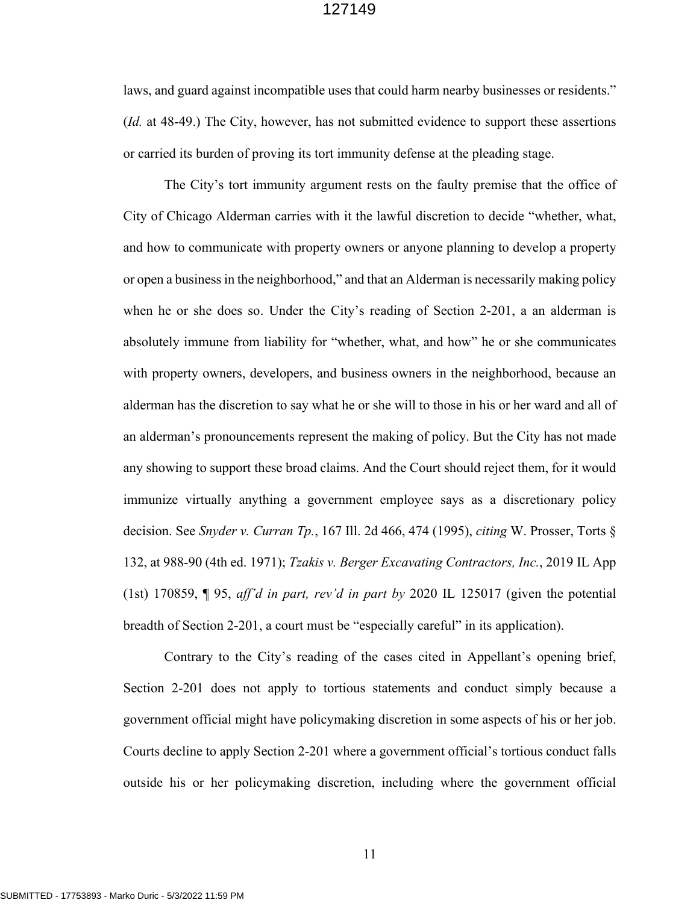laws, and guard against incompatible uses that could harm nearby businesses or residents." (*Id.* at 48-49.) The City, however, has not submitted evidence to support these assertions or carried its burden of proving its tort immunity defense at the pleading stage.

The City's tort immunity argument rests on the faulty premise that the office of City of Chicago Alderman carries with it the lawful discretion to decide "whether, what, and how to communicate with property owners or anyone planning to develop a property or open a business in the neighborhood," and that an Alderman is necessarily making policy when he or she does so. Under the City's reading of Section 2-201, a an alderman is absolutely immune from liability for "whether, what, and how" he or she communicates with property owners, developers, and business owners in the neighborhood, because an alderman has the discretion to say what he or she will to those in his or her ward and all of an alderman's pronouncements represent the making of policy. But the City has not made any showing to support these broad claims. And the Court should reject them, for it would immunize virtually anything a government employee says as a discretionary policy decision. See *Snyder v. Curran Tp.*, 167 Ill. 2d 466, 474 (1995), *citing* W. Prosser, Torts § 132, at 988-90 (4th ed. 1971); *Tzakis v. Berger Excavating Contractors, Inc.*, 2019 IL App (1st) 170859, ¶ 95, *aff'd in part, rev'd in part by* 2020 IL 125017 (given the potential breadth of Section 2-201, a court must be "especially careful" in its application).

Contrary to the City's reading of the cases cited in Appellant's opening brief, Section 2-201 does not apply to tortious statements and conduct simply because a government official might have policymaking discretion in some aspects of his or her job. Courts decline to apply Section 2-201 where a government official's tortious conduct falls outside his or her policymaking discretion, including where the government official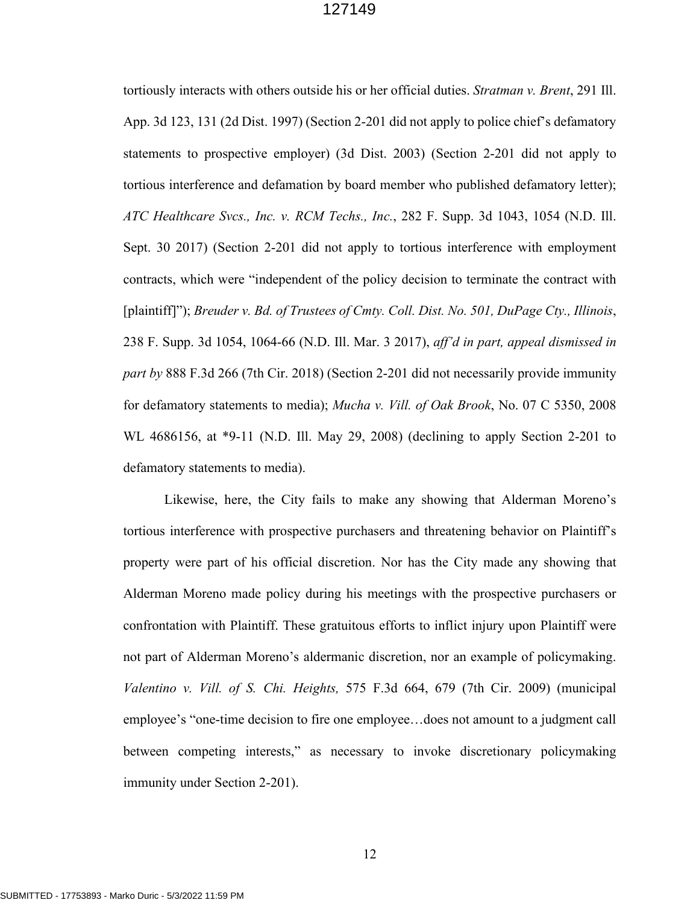tortiously interacts with others outside his or her official duties. *Stratman v. Brent*, 291 Ill. App. 3d 123, 131 (2d Dist. 1997) (Section 2-201 did not apply to police chief's defamatory statements to prospective employer) (3d Dist. 2003) (Section 2-201 did not apply to tortious interference and defamation by board member who published defamatory letter); *ATC Healthcare Svcs., Inc. v. RCM Techs., Inc.*, 282 F. Supp. 3d 1043, 1054 (N.D. Ill. Sept. 30 2017) (Section 2-201 did not apply to tortious interference with employment contracts, which were "independent of the policy decision to terminate the contract with [plaintiff]"); *Breuder v. Bd. of Trustees of Cmty. Coll. Dist. No. 501, DuPage Cty., Illinois*, 238 F. Supp. 3d 1054, 1064-66 (N.D. Ill. Mar. 3 2017), *aff'd in part, appeal dismissed in part by* 888 F.3d 266 (7th Cir. 2018) (Section 2-201 did not necessarily provide immunity for defamatory statements to media); *Mucha v. Vill. of Oak Brook*, No. 07 C 5350, 2008 WL 4686156, at \*9-11 (N.D. Ill. May 29, 2008) (declining to apply Section 2-201 to defamatory statements to media).

Likewise, here, the City fails to make any showing that Alderman Moreno's tortious interference with prospective purchasers and threatening behavior on Plaintiff's property were part of his official discretion. Nor has the City made any showing that Alderman Moreno made policy during his meetings with the prospective purchasers or confrontation with Plaintiff. These gratuitous efforts to inflict injury upon Plaintiff were not part of Alderman Moreno's aldermanic discretion, nor an example of policymaking. *Valentino v. Vill. of S. Chi. Heights,* 575 F.3d 664, 679 (7th Cir. 2009) (municipal employee's "one-time decision to fire one employee…does not amount to a judgment call between competing interests," as necessary to invoke discretionary policymaking immunity under Section 2-201).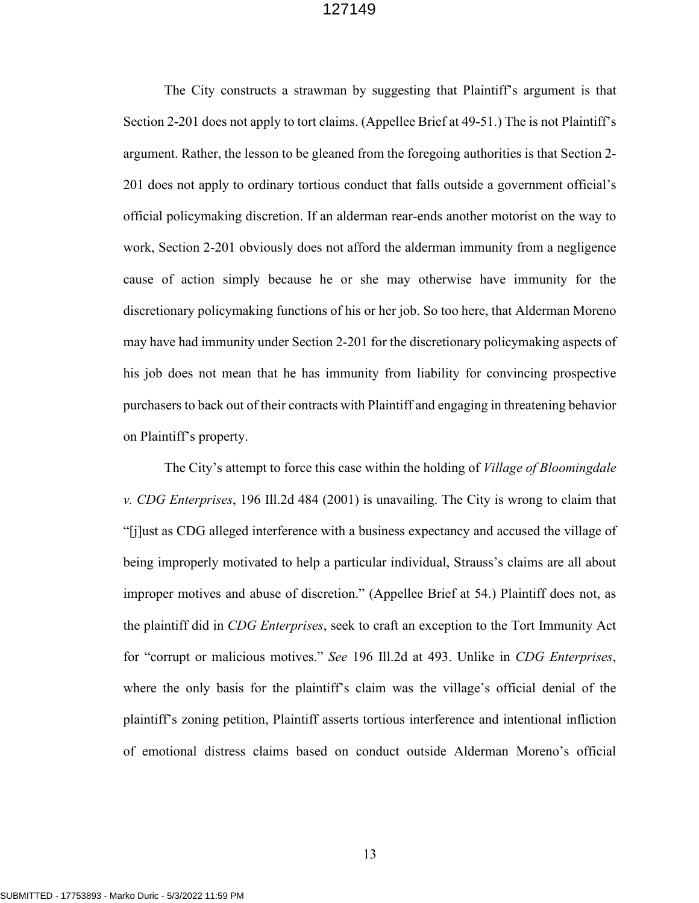The City constructs a strawman by suggesting that Plaintiff's argument is that Section 2-201 does not apply to tort claims. (Appellee Brief at 49-51.) The is not Plaintiff's argument. Rather, the lesson to be gleaned from the foregoing authorities is that Section 2- 201 does not apply to ordinary tortious conduct that falls outside a government official's official policymaking discretion. If an alderman rear-ends another motorist on the way to work, Section 2-201 obviously does not afford the alderman immunity from a negligence cause of action simply because he or she may otherwise have immunity for the discretionary policymaking functions of his or her job. So too here, that Alderman Moreno may have had immunity under Section 2-201 for the discretionary policymaking aspects of his job does not mean that he has immunity from liability for convincing prospective purchasers to back out of their contracts with Plaintiff and engaging in threatening behavior on Plaintiff's property.

The City's attempt to force this case within the holding of *Village of Bloomingdale v. CDG Enterprises*, 196 Ill.2d 484 (2001) is unavailing. The City is wrong to claim that "[j]ust as CDG alleged interference with a business expectancy and accused the village of being improperly motivated to help a particular individual, Strauss's claims are all about improper motives and abuse of discretion." (Appellee Brief at 54.) Plaintiff does not, as the plaintiff did in *CDG Enterprises*, seek to craft an exception to the Tort Immunity Act for "corrupt or malicious motives." *See* 196 Ill.2d at 493. Unlike in *CDG Enterprises*, where the only basis for the plaintiff's claim was the village's official denial of the plaintiff's zoning petition, Plaintiff asserts tortious interference and intentional infliction of emotional distress claims based on conduct outside Alderman Moreno's official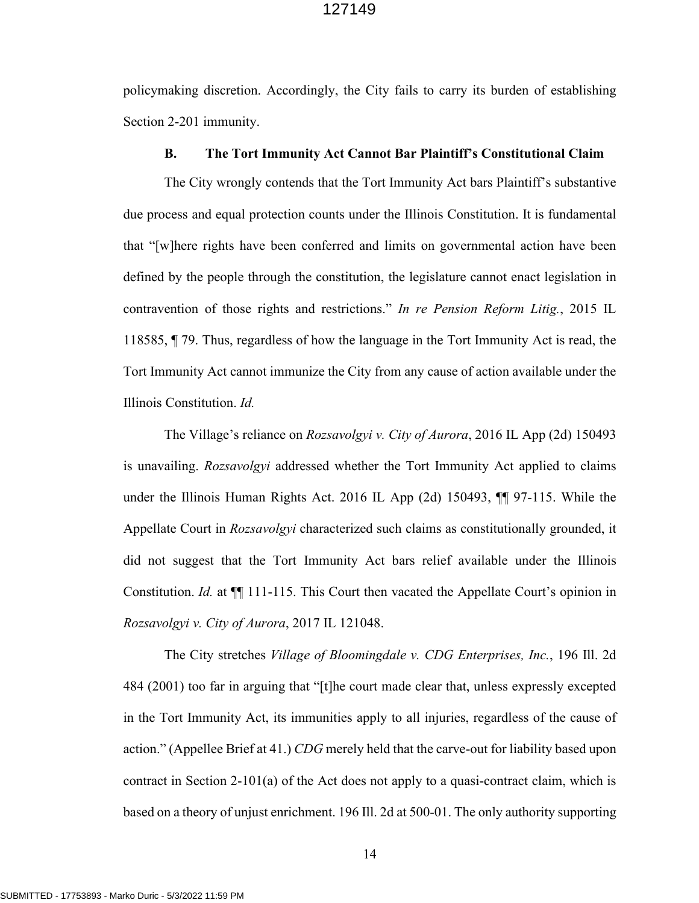policymaking discretion. Accordingly, the City fails to carry its burden of establishing Section 2-201 immunity.

### **B. The Tort Immunity Act Cannot Bar Plaintiff's Constitutional Claim**

The City wrongly contends that the Tort Immunity Act bars Plaintiff's substantive due process and equal protection counts under the Illinois Constitution. It is fundamental that "[w]here rights have been conferred and limits on governmental action have been defined by the people through the constitution, the legislature cannot enact legislation in contravention of those rights and restrictions." *In re Pension Reform Litig.*, 2015 IL 118585, ¶ 79. Thus, regardless of how the language in the Tort Immunity Act is read, the Tort Immunity Act cannot immunize the City from any cause of action available under the Illinois Constitution. *Id.*

The Village's reliance on *Rozsavolgyi v. City of Aurora*, 2016 IL App (2d) 150493 is unavailing. *Rozsavolgyi* addressed whether the Tort Immunity Act applied to claims under the Illinois Human Rights Act. 2016 IL App (2d) 150493, ¶¶ 97-115. While the Appellate Court in *Rozsavolgyi* characterized such claims as constitutionally grounded, it did not suggest that the Tort Immunity Act bars relief available under the Illinois Constitution. *Id.* at  $\P$  111-115. This Court then vacated the Appellate Court's opinion in *Rozsavolgyi v. City of Aurora*, 2017 IL 121048.

The City stretches *Village of Bloomingdale v. CDG Enterprises, Inc.*, 196 Ill. 2d 484 (2001) too far in arguing that "[t]he court made clear that, unless expressly excepted in the Tort Immunity Act, its immunities apply to all injuries, regardless of the cause of action." (Appellee Brief at 41.) *CDG* merely held that the carve-out for liability based upon contract in Section 2-101(a) of the Act does not apply to a quasi-contract claim, which is based on a theory of unjust enrichment. 196 Ill. 2d at 500-01. The only authority supporting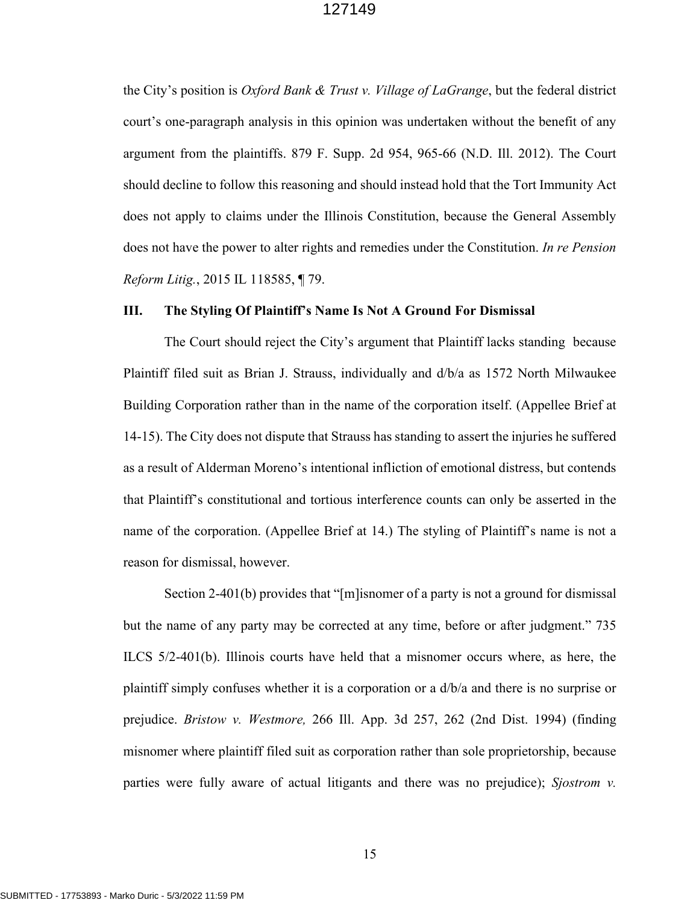the City's position is *Oxford Bank & Trust v. Village of LaGrange*, but the federal district court's one-paragraph analysis in this opinion was undertaken without the benefit of any argument from the plaintiffs. 879 F. Supp. 2d 954, 965-66 (N.D. Ill. 2012). The Court should decline to follow this reasoning and should instead hold that the Tort Immunity Act does not apply to claims under the Illinois Constitution, because the General Assembly does not have the power to alter rights and remedies under the Constitution. *In re Pension Reform Litig.*, 2015 IL 118585, ¶ 79.

### **III. The Styling Of Plaintiff's Name Is Not A Ground For Dismissal**

The Court should reject the City's argument that Plaintiff lacks standing because Plaintiff filed suit as Brian J. Strauss, individually and d/b/a as 1572 North Milwaukee Building Corporation rather than in the name of the corporation itself. (Appellee Brief at 14-15). The City does not dispute that Strauss has standing to assert the injuries he suffered as a result of Alderman Moreno's intentional infliction of emotional distress, but contends that Plaintiff's constitutional and tortious interference counts can only be asserted in the name of the corporation. (Appellee Brief at 14.) The styling of Plaintiff's name is not a reason for dismissal, however.

Section 2-401(b) provides that "[m]isnomer of a party is not a ground for dismissal but the name of any party may be corrected at any time, before or after judgment." 735 ILCS 5/2-401(b). Illinois courts have held that a misnomer occurs where, as here, the plaintiff simply confuses whether it is a corporation or a d/b/a and there is no surprise or prejudice. *Bristow v. Westmore,* 266 Ill. App. 3d 257, 262 (2nd Dist. 1994) (finding misnomer where plaintiff filed suit as corporation rather than sole proprietorship, because parties were fully aware of actual litigants and there was no prejudice); *Sjostrom v.*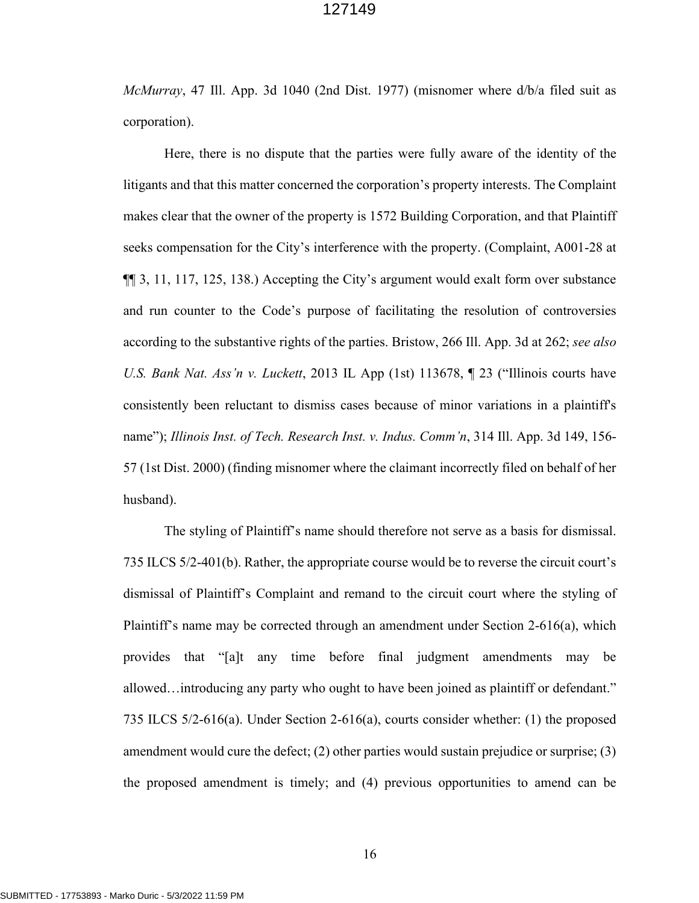*McMurray*, 47 Ill. App. 3d 1040 (2nd Dist. 1977) (misnomer where d/b/a filed suit as corporation).

Here, there is no dispute that the parties were fully aware of the identity of the litigants and that this matter concerned the corporation's property interests. The Complaint makes clear that the owner of the property is 1572 Building Corporation, and that Plaintiff seeks compensation for the City's interference with the property. (Complaint, A001-28 at ¶¶ 3, 11, 117, 125, 138.) Accepting the City's argument would exalt form over substance and run counter to the Code's purpose of facilitating the resolution of controversies according to the substantive rights of the parties. Bristow, 266 Ill. App. 3d at 262; *see also U.S. Bank Nat. Ass'n v. Luckett*, 2013 IL App (1st) 113678, ¶ 23 ("Illinois courts have consistently been reluctant to dismiss cases because of minor variations in a plaintiff's name"); *Illinois Inst. of Tech. Research Inst. v. Indus. Comm'n*, 314 Ill. App. 3d 149, 156- 57 (1st Dist. 2000) (finding misnomer where the claimant incorrectly filed on behalf of her husband).

The styling of Plaintiff's name should therefore not serve as a basis for dismissal. 735 ILCS 5/2-401(b). Rather, the appropriate course would be to reverse the circuit court's dismissal of Plaintiff's Complaint and remand to the circuit court where the styling of Plaintiff's name may be corrected through an amendment under Section 2-616(a), which provides that "[a]t any time before final judgment amendments may be allowed…introducing any party who ought to have been joined as plaintiff or defendant." 735 ILCS 5/2-616(a). Under Section 2-616(a), courts consider whether: (1) the proposed amendment would cure the defect; (2) other parties would sustain prejudice or surprise; (3) the proposed amendment is timely; and (4) previous opportunities to amend can be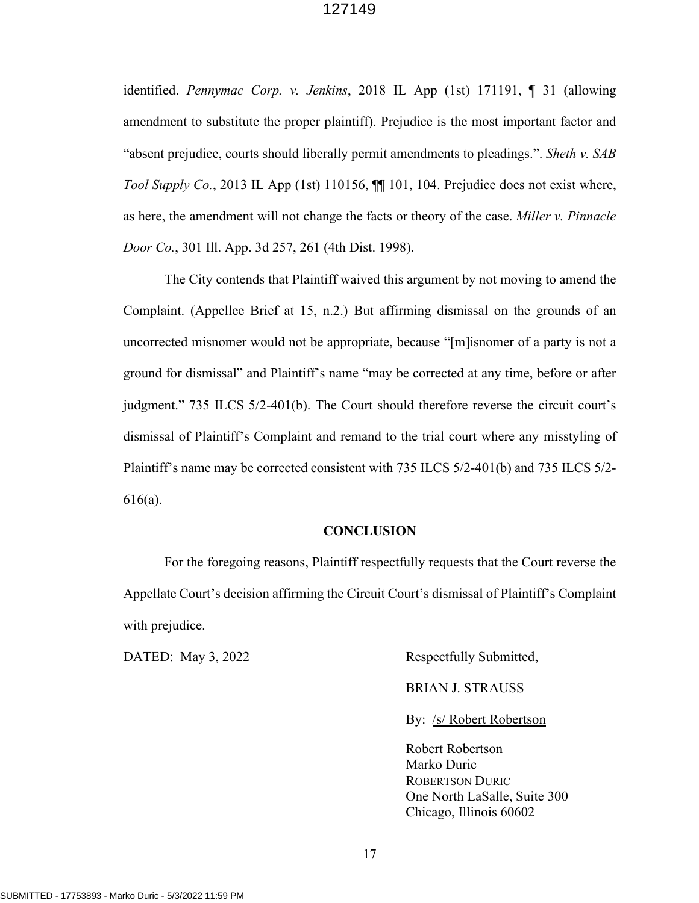identified. *Pennymac Corp. v. Jenkins*, 2018 IL App (1st) 171191, ¶ 31 (allowing amendment to substitute the proper plaintiff). Prejudice is the most important factor and "absent prejudice, courts should liberally permit amendments to pleadings.". *Sheth v. SAB Tool Supply Co.*, 2013 IL App (1st) 110156, ¶¶ 101, 104. Prejudice does not exist where, as here, the amendment will not change the facts or theory of the case. *Miller v. Pinnacle Door Co.*, 301 Ill. App. 3d 257, 261 (4th Dist. 1998).

The City contends that Plaintiff waived this argument by not moving to amend the Complaint. (Appellee Brief at 15, n.2.) But affirming dismissal on the grounds of an uncorrected misnomer would not be appropriate, because "[m]isnomer of a party is not a ground for dismissal" and Plaintiff's name "may be corrected at any time, before or after judgment." 735 ILCS 5/2-401(b). The Court should therefore reverse the circuit court's dismissal of Plaintiff's Complaint and remand to the trial court where any misstyling of Plaintiff's name may be corrected consistent with 735 ILCS 5/2-401(b) and 735 ILCS 5/2- 616(a).

### **CONCLUSION**

For the foregoing reasons, Plaintiff respectfully requests that the Court reverse the Appellate Court's decision affirming the Circuit Court's dismissal of Plaintiff's Complaint with prejudice.

DATED: May 3, 2022 Respectfully Submitted,

BRIAN J. STRAUSS

By: /s/ Robert Robertson

 Robert Robertson Marko Duric ROBERTSON DURIC One North LaSalle, Suite 300 Chicago, Illinois 60602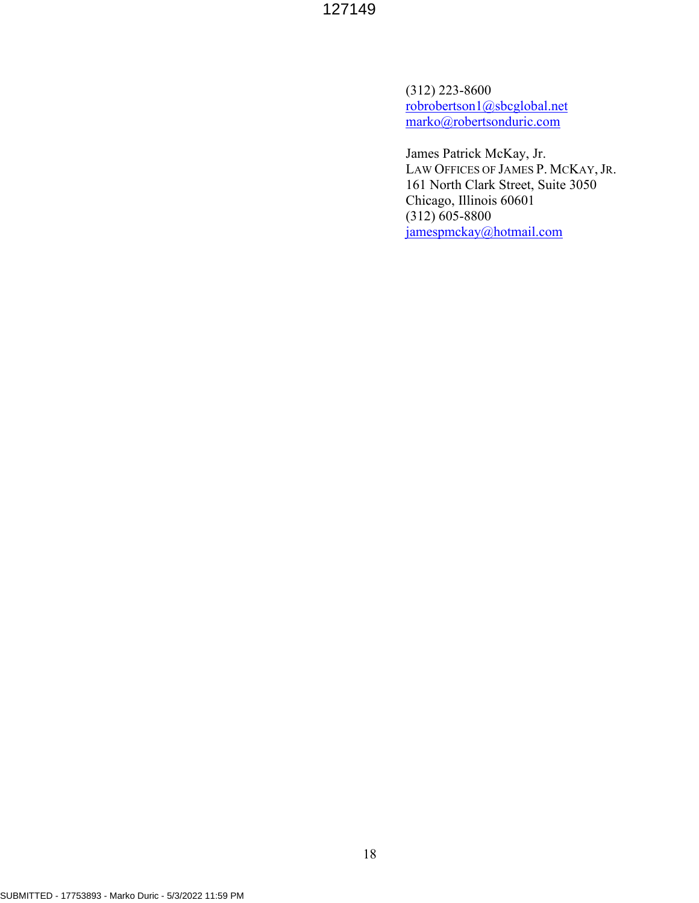(312) 223-8600 [robrobertson1@sbcglobal.net](mailto:robrobertson1@sbcglobal.net) [marko@robertsonduric.com](mailto:marko@robertsonduric.com) 

James Patrick McKay, Jr. LAW OFFICES OF JAMES P. MCKAY, JR. 161 North Clark Street, Suite 3050 Chicago, Illinois 60601 (312) 605-8800 [jamespmckay@hotmail.com](mailto:jamespmckay@hotmail.com)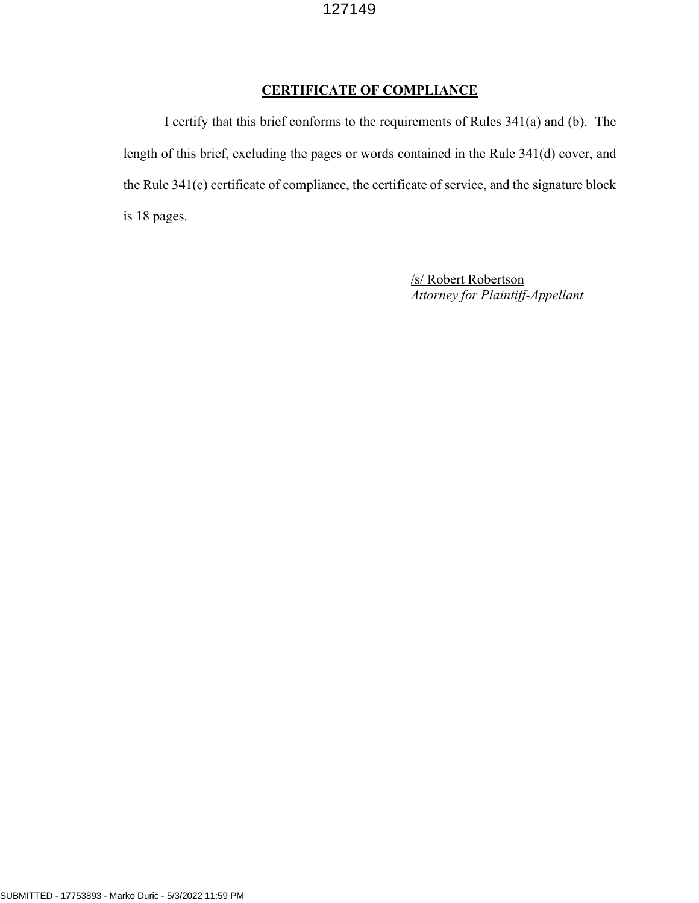# **CERTIFICATE OF COMPLIANCE**

I certify that this brief conforms to the requirements of Rules 341(a) and (b). The length of this brief, excluding the pages or words contained in the Rule 341(d) cover, and the Rule 341(c) certificate of compliance, the certificate of service, and the signature block is 18 pages.

> /s/ Robert Robertson *Attorney for Plaintiff-Appellant*